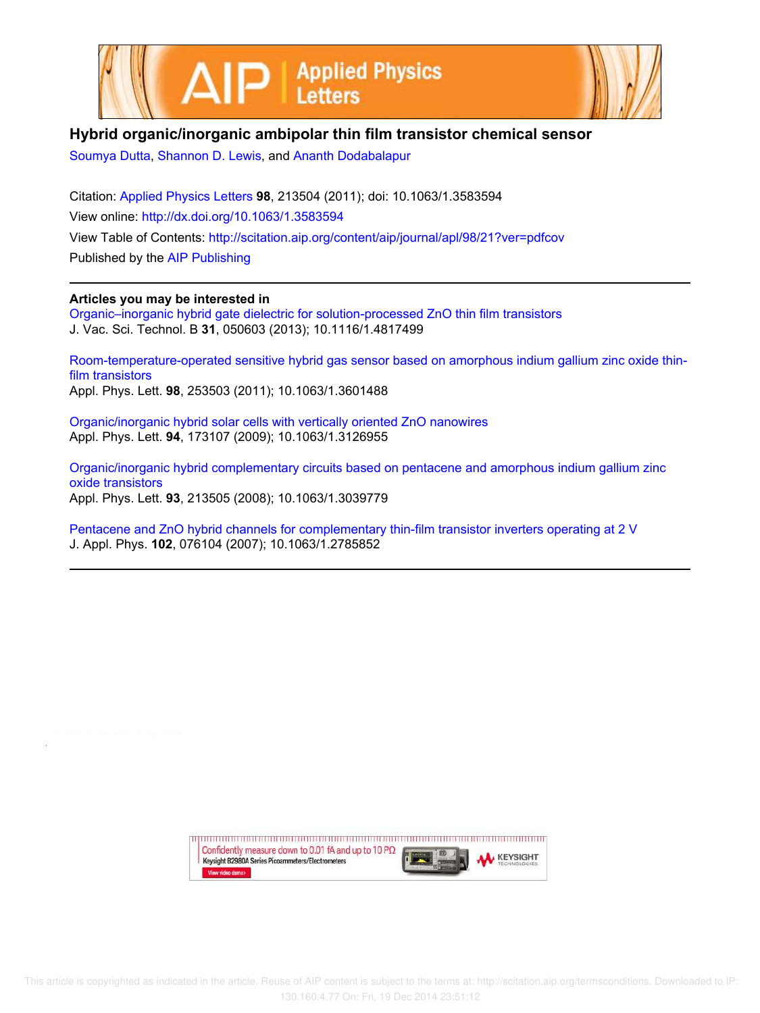



## **Hybrid organic/inorganic ambipolar thin film transistor chemical sensor**

Soumya Dutta, Shannon D. Lewis, and Ananth Dodabalapur

Citation: Applied Physics Letters **98**, 213504 (2011); doi: 10.1063/1.3583594 View online: http://dx.doi.org/10.1063/1.3583594 View Table of Contents: http://scitation.aip.org/content/aip/journal/apl/98/21?ver=pdfcov Published by the AIP Publishing

## **Articles you may be interested in**

Organic–inorganic hybrid gate dielectric for solution-processed ZnO thin film transistors J. Vac. Sci. Technol. B **31**, 050603 (2013); 10.1116/1.4817499

Room-temperature-operated sensitive hybrid gas sensor based on amorphous indium gallium zinc oxide thinfilm transistors Appl. Phys. Lett. **98**, 253503 (2011); 10.1063/1.3601488

Organic/inorganic hybrid solar cells with vertically oriented ZnO nanowires Appl. Phys. Lett. **94**, 173107 (2009); 10.1063/1.3126955

Organic/inorganic hybrid complementary circuits based on pentacene and amorphous indium gallium zinc oxide transistors Appl. Phys. Lett. **93**, 213505 (2008); 10.1063/1.3039779

Pentacene and ZnO hybrid channels for complementary thin-film transistor inverters operating at 2 V J. Appl. Phys. **102**, 076104 (2007); 10.1063/1.2785852

> upun manan manan manan manan manan manan manan manan manan manan Confidently measure down to 0.01 fA and up to 10 P $\Omega$ **KEYSIGHT** Keysight B2980A Series Picoammeters/Electrometers View video demo>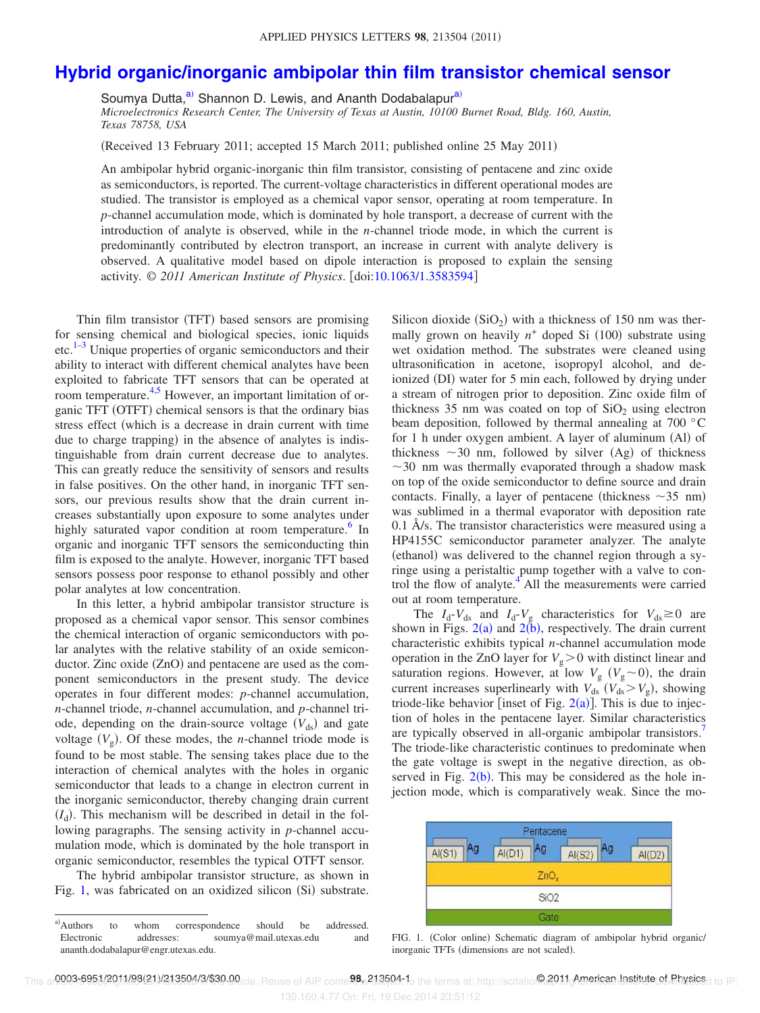## **Hybrid organic/inorganic ambipolar thin film transistor chemical sensor**

Soumya Dutta,<sup>a)</sup> Shannon D. Lewis, and Ananth Dodabalapur<sup>a)</sup>

*Microelectronics Research Center, The University of Texas at Austin, 10100 Burnet Road, Bldg. 160, Austin, Texas 78758, USA*

(Received 13 February 2011; accepted 15 March 2011; published online 25 May 2011)

An ambipolar hybrid organic-inorganic thin film transistor, consisting of pentacene and zinc oxide as semiconductors, is reported. The current-voltage characteristics in different operational modes are studied. The transistor is employed as a chemical vapor sensor, operating at room temperature. In *p*-channel accumulation mode, which is dominated by hole transport, a decrease of current with the introduction of analyte is observed, while in the *n*-channel triode mode, in which the current is predominantly contributed by electron transport, an increase in current with analyte delivery is observed. A qualitative model based on dipole interaction is proposed to explain the sensing activity. © *2011 American Institute of Physics*. doi:10.1063/1.3583594

Thin film transistor (TFT) based sensors are promising for sensing chemical and biological species, ionic liquids  $etc.<sup>1–3</sup>$  Unique properties of organic semiconductors and their ability to interact with different chemical analytes have been exploited to fabricate TFT sensors that can be operated at room temperature.<sup>4,5</sup> However, an important limitation of organic TFT (OTFT) chemical sensors is that the ordinary bias stress effect (which is a decrease in drain current with time due to charge trapping) in the absence of analytes is indistinguishable from drain current decrease due to analytes. This can greatly reduce the sensitivity of sensors and results in false positives. On the other hand, in inorganic TFT sensors, our previous results show that the drain current increases substantially upon exposure to some analytes under highly saturated vapor condition at room temperature.<sup>6</sup> In organic and inorganic TFT sensors the semiconducting thin film is exposed to the analyte. However, inorganic TFT based sensors possess poor response to ethanol possibly and other polar analytes at low concentration.

In this letter, a hybrid ambipolar transistor structure is proposed as a chemical vapor sensor. This sensor combines the chemical interaction of organic semiconductors with polar analytes with the relative stability of an oxide semiconductor. Zinc oxide (ZnO) and pentacene are used as the component semiconductors in the present study. The device operates in four different modes: *p*-channel accumulation, *n*-channel triode, *n*-channel accumulation, and *p*-channel triode, depending on the drain-source voltage  $(V_{ds})$  and gate voltage  $(V_g)$ . Of these modes, the *n*-channel triode mode is found to be most stable. The sensing takes place due to the interaction of chemical analytes with the holes in organic semiconductor that leads to a change in electron current in the inorganic semiconductor, thereby changing drain current  $(I_d)$ . This mechanism will be described in detail in the following paragraphs. The sensing activity in *p*-channel accumulation mode, which is dominated by the hole transport in organic semiconductor, resembles the typical OTFT sensor.

The hybrid ambipolar transistor structure, as shown in Fig. 1, was fabricated on an oxidized silicon (Si) substrate.

Silicon dioxide  $(SiO<sub>2</sub>)$  with a thickness of 150 nm was thermally grown on heavily  $n^+$  doped Si  $(100)$  substrate using wet oxidation method. The substrates were cleaned using ultrasonification in acetone, isopropyl alcohol, and deionized (DI) water for 5 min each, followed by drying under a stream of nitrogen prior to deposition. Zinc oxide film of thickness 35 nm was coated on top of  $SiO<sub>2</sub>$  using electron beam deposition, followed by thermal annealing at 700 °C for 1 h under oxygen ambient. A layer of aluminum (Al) of thickness  $\sim$  30 nm, followed by silver (Ag) of thickness  $\sim$ 30 nm was thermally evaporated through a shadow mask on top of the oxide semiconductor to define source and drain contacts. Finally, a layer of pentacene (thickness  $\sim$ 35 nm) was sublimed in a thermal evaporator with deposition rate 0.1 Å/s. The transistor characteristics were measured using a HP4155C semiconductor parameter analyzer. The analyte (ethanol) was delivered to the channel region through a syringe using a peristaltic pump together with a valve to control the flow of analyte.<sup>4</sup> All the measurements were carried out at room temperature.

The  $I_d$ - $V_{ds}$  and  $I_d$ - $V_g$  characteristics for  $V_{ds} \ge 0$  are shown in Figs.  $2(a)$  and  $2(b)$ , respectively. The drain current characteristic exhibits typical *n*-channel accumulation mode operation in the ZnO layer for  $V_g > 0$  with distinct linear and saturation regions. However, at low  $V_g$  ( $V_g \sim 0$ ), the drain current increases superlinearly with  $V_{ds}$  ( $V_{ds} > V_g$ ), showing triode-like behavior [inset of Fig.  $2(a)$ ]. This is due to injection of holes in the pentacene layer. Similar characteristics are typically observed in all-organic ambipolar transistors.<sup>7</sup> The triode-like characteristic continues to predominate when the gate voltage is swept in the negative direction, as observed in Fig.  $2(b)$ . This may be considered as the hole injection mode, which is comparatively weak. Since the mo-



FIG. 1. (Color online) Schematic diagram of ambipolar hybrid organic/ inorganic TFTs (dimensions are not scaled).

a)Authors to whom correspondence should be addressed. Electronic addresses: soumya@mail.utexas.edu and ananth.dodabalapur@engr.utexas.edu.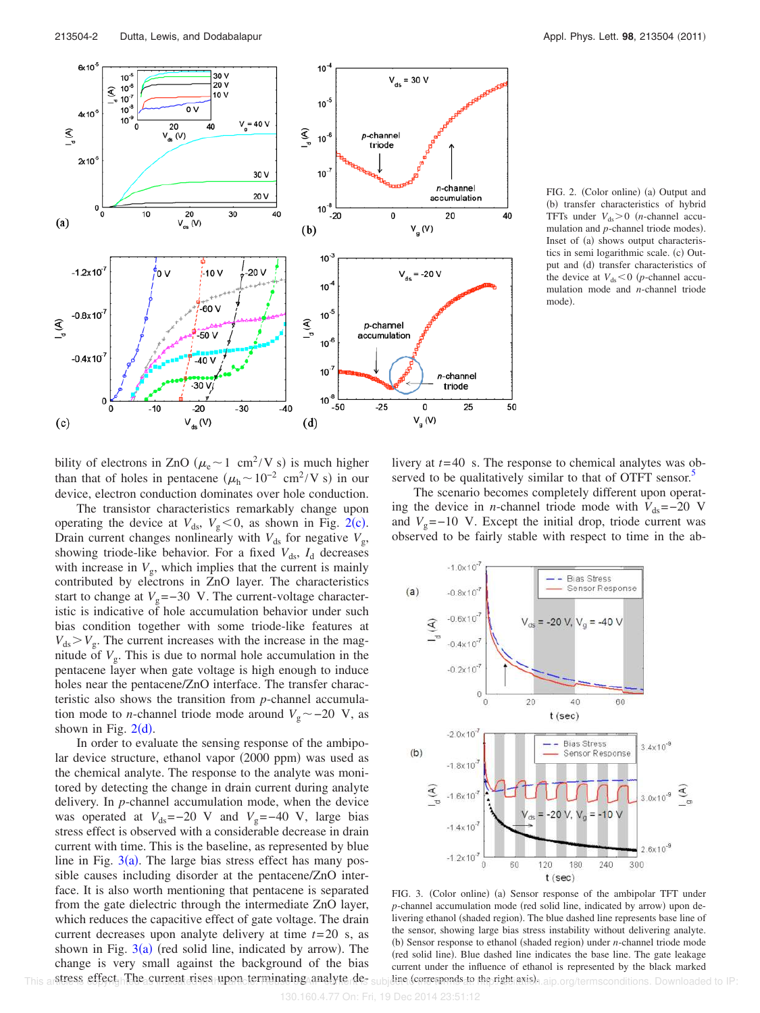

FIG. 2. (Color online) (a) Output and (b) transfer characteristics of hybrid TFTs under  $V_{ds} > 0$  (*n*-channel accumulation and *p*-channel triode modes). Inset of (a) shows output characteristics in semi logarithmic scale. (c) Output and (d) transfer characteristics of the device at  $V_{ds} < 0$  (*p*-channel accumulation mode and *n*-channel triode mode).

bility of electrons in ZnO ( $\mu_e$  ~ 1 cm<sup>2</sup>/V s) is much higher than that of holes in pentacene  $(\mu_h \sim 10^{-2} \text{ cm}^2/\text{V s})$  in our device, electron conduction dominates over hole conduction.

The transistor characteristics remarkably change upon operating the device at  $V_{ds}$ ,  $V_g < 0$ , as shown in Fig. 2(c). Drain current changes nonlinearly with  $V_{ds}$  for negative  $V_{g}$ , showing triode-like behavior. For a fixed  $V_{ds}$ ,  $I_d$  decreases with increase in  $V_{\rm g}$ , which implies that the current is mainly contributed by electrons in ZnO layer. The characteristics start to change at  $V_g$ =−30 V. The current-voltage characteristic is indicative of hole accumulation behavior under such bias condition together with some triode-like features at  $V_{ds}$  >  $V_g$ . The current increases with the increase in the magnitude of  $V<sub>g</sub>$ . This is due to normal hole accumulation in the pentacene layer when gate voltage is high enough to induce holes near the pentacene/ZnO interface. The transfer characteristic also shows the transition from *p*-channel accumulation mode to *n*-channel triode mode around  $V_g$  ~ -20 V, as shown in Fig.  $2(d)$ .

In order to evaluate the sensing response of the ambipolar device structure, ethanol vapor (2000 ppm) was used as the chemical analyte. The response to the analyte was monitored by detecting the change in drain current during analyte delivery. In *p*-channel accumulation mode, when the device was operated at  $V_{ds}$ =−20 V and  $V_g$ =−40 V, large bias stress effect is observed with a considerable decrease in drain current with time. This is the baseline, as represented by blue line in Fig.  $3(a)$ . The large bias stress effect has many possible causes including disorder at the pentacene/ZnO interface. It is also worth mentioning that pentacene is separated from the gate dielectric through the intermediate ZnO layer, which reduces the capacitive effect of gate voltage. The drain current decreases upon analyte delivery at time *t*=20 s, as shown in Fig.  $3(a)$  (red solid line, indicated by arrow). The change is very small against the background of the bias stress effect. The current rises upon terminating analyte de-This articless effect The current cises upon terminating analyter  $de_5$  subjection (corresponds to the right axis), aip org/termsconditions. Downloaded to IP:

livery at *t*=40 s. The response to chemical analytes was observed to be qualitatively similar to that of OTFT sensor.<sup>5</sup>

The scenario becomes completely different upon operating the device in *n*-channel triode mode with  $V_{ds}$ =−20 V and  $V_0$ =−10 V. Except the initial drop, triode current was observed to be fairly stable with respect to time in the ab-



FIG. 3. (Color online) (a) Sensor response of the ambipolar TFT under p-channel accumulation mode (red solid line, indicated by arrow) upon delivering ethanol (shaded region). The blue dashed line represents base line of the sensor, showing large bias stress instability without delivering analyte. (b) Sensor response to ethanol (shaded region) under *n*-channel triode mode (red solid line). Blue dashed line indicates the base line. The gate leakage current under the influence of ethanol is represented by the black marked